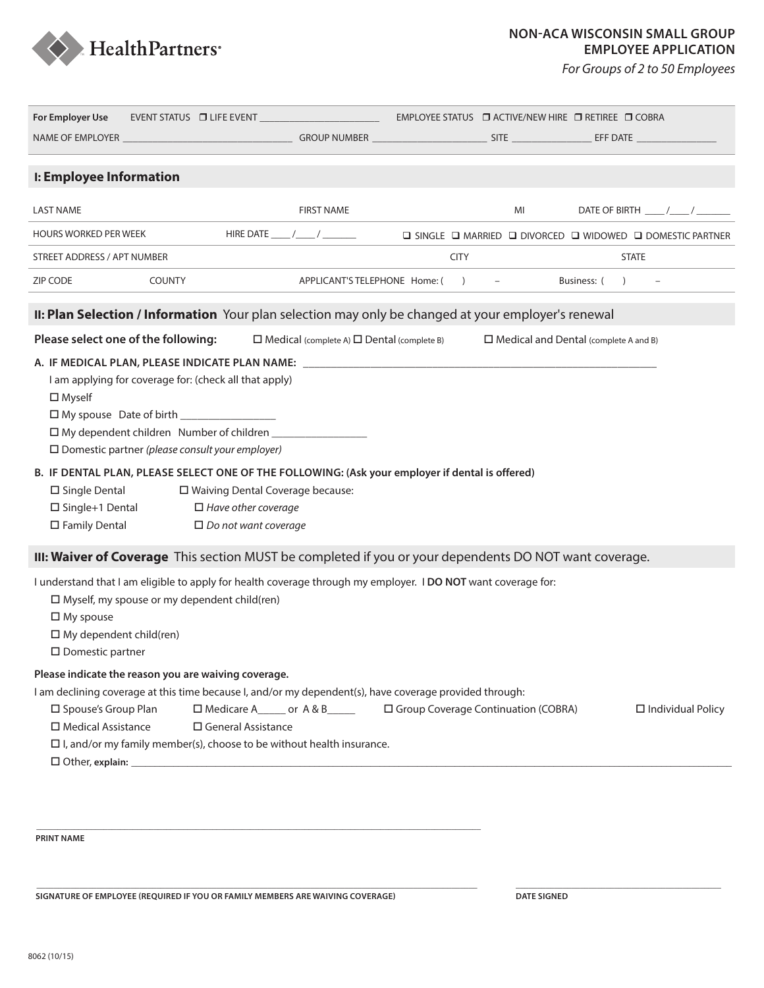

*For Groups of 2 to 50 Employees*

| For Employer Use                                                                                                                                                                                                                                                                                                                                                   | EVENT STATUS LEVEL EVENT AND THE EVENT AND THE STATUS OF THE EVENT AND THE STATUS OF THE STATUS OF THE STATUS                                                                                                                                                                                                                                                                                                                                                           |                                                        |             | EMPLOYEE STATUS □ ACTIVE/NEW HIRE □ RETIREE □ COBRA                                                |                |                            |
|--------------------------------------------------------------------------------------------------------------------------------------------------------------------------------------------------------------------------------------------------------------------------------------------------------------------------------------------------------------------|-------------------------------------------------------------------------------------------------------------------------------------------------------------------------------------------------------------------------------------------------------------------------------------------------------------------------------------------------------------------------------------------------------------------------------------------------------------------------|--------------------------------------------------------|-------------|----------------------------------------------------------------------------------------------------|----------------|----------------------------|
|                                                                                                                                                                                                                                                                                                                                                                    |                                                                                                                                                                                                                                                                                                                                                                                                                                                                         |                                                        |             |                                                                                                    |                |                            |
|                                                                                                                                                                                                                                                                                                                                                                    |                                                                                                                                                                                                                                                                                                                                                                                                                                                                         |                                                        |             |                                                                                                    |                |                            |
| I: Employee Information                                                                                                                                                                                                                                                                                                                                            |                                                                                                                                                                                                                                                                                                                                                                                                                                                                         |                                                        |             |                                                                                                    |                |                            |
| <b>LAST NAME</b>                                                                                                                                                                                                                                                                                                                                                   |                                                                                                                                                                                                                                                                                                                                                                                                                                                                         | <b>FIRST NAME</b>                                      |             | MI                                                                                                 |                | DATE OF BIRTH _____/_____/ |
| <b>HOURS WORKED PER WEEK</b>                                                                                                                                                                                                                                                                                                                                       |                                                                                                                                                                                                                                                                                                                                                                                                                                                                         |                                                        |             | $\square$ SINGLE $\square$ MARRIED $\square$ DIVORCED $\square$ WIDOWED $\square$ DOMESTIC PARTNER |                |                            |
| STREET ADDRESS / APT NUMBER                                                                                                                                                                                                                                                                                                                                        |                                                                                                                                                                                                                                                                                                                                                                                                                                                                         |                                                        | <b>CITY</b> |                                                                                                    | <b>STATE</b>   |                            |
| ZIP CODE                                                                                                                                                                                                                                                                                                                                                           | COUNTY                                                                                                                                                                                                                                                                                                                                                                                                                                                                  | APPLICANT'S TELEPHONE Home: ()                         |             |                                                                                                    | Business: () – |                            |
|                                                                                                                                                                                                                                                                                                                                                                    |                                                                                                                                                                                                                                                                                                                                                                                                                                                                         |                                                        |             |                                                                                                    |                |                            |
|                                                                                                                                                                                                                                                                                                                                                                    | II: Plan Selection / Information Your plan selection may only be changed at your employer's renewal                                                                                                                                                                                                                                                                                                                                                                     |                                                        |             |                                                                                                    |                |                            |
| Please select one of the following:                                                                                                                                                                                                                                                                                                                                |                                                                                                                                                                                                                                                                                                                                                                                                                                                                         | $\Box$ Medical (complete A) $\Box$ Dental (complete B) |             | $\Box$ Medical and Dental (complete A and B)                                                       |                |                            |
| $\square$ Myself<br>□ My spouse Date of birth ___________________<br>$\square$ Single Dental<br>$\square$ Single+1 Dental<br>□ Family Dental                                                                                                                                                                                                                       | A. IF MEDICAL PLAN, PLEASE INDICATE PLAN NAME: __________________________________<br>I am applying for coverage for: (check all that apply)<br>$\Box$ My dependent children Number of children _____<br>$\square$ Domestic partner (please consult your employer)<br>B. IF DENTAL PLAN, PLEASE SELECT ONE OF THE FOLLOWING: (Ask your employer if dental is offered)<br>□ Waiving Dental Coverage because:<br>$\Box$ Have other coverage<br>$\Box$ Do not want coverage |                                                        |             |                                                                                                    |                |                            |
| III: Waiver of Coverage This section MUST be completed if you or your dependents DO NOT want coverage.<br>I understand that I am eligible to apply for health coverage through my employer. I DO NOT want coverage for:<br>$\Box$ Myself, my spouse or my dependent child(ren)<br>$\Box$ My spouse<br>$\Box$ My dependent child(ren)<br>$\square$ Domestic partner |                                                                                                                                                                                                                                                                                                                                                                                                                                                                         |                                                        |             |                                                                                                    |                |                            |
| Please indicate the reason you are waiving coverage.<br>I am declining coverage at this time because I, and/or my dependent(s), have coverage provided through:                                                                                                                                                                                                    |                                                                                                                                                                                                                                                                                                                                                                                                                                                                         |                                                        |             |                                                                                                    |                |                            |
| □ Spouse's Group Plan<br>□ Medical Assistance                                                                                                                                                                                                                                                                                                                      | □ Medicare A______ or A & B______   □ Group Coverage Continuation (COBRA)<br>$\Box$ General Assistance<br>$\Box$ I, and/or my family member(s), choose to be without health insurance.                                                                                                                                                                                                                                                                                  |                                                        |             |                                                                                                    |                | $\Box$ Individual Policy   |
|                                                                                                                                                                                                                                                                                                                                                                    |                                                                                                                                                                                                                                                                                                                                                                                                                                                                         |                                                        |             |                                                                                                    |                |                            |

**\_\_\_\_\_\_\_\_\_\_\_\_\_\_\_\_\_\_\_\_\_\_\_\_\_\_\_\_\_\_\_\_\_\_\_\_\_\_\_\_\_\_\_\_\_\_\_\_\_\_\_\_\_\_\_\_\_\_\_\_\_\_\_\_\_\_\_\_\_\_\_\_\_\_\_\_\_\_\_\_\_\_\_\_\_\_\_\_\_\_\_\_\_\_\_\_\_\_\_\_\_\_\_ \_\_\_\_\_\_\_\_\_\_\_\_\_\_\_\_\_\_\_\_\_\_\_\_\_\_\_\_\_\_\_\_\_\_\_\_\_\_\_\_\_\_\_\_\_\_\_\_**

**PRINT NAME**

**SIGNATURE OF EMPLOYEE (REQUIRED IF YOU OR FAMILY MEMBERS ARE WAIVING COVERAGE) DATE SIGNED**

**\_\_\_\_\_\_\_\_\_\_\_\_\_\_\_\_\_\_\_\_\_\_\_\_\_\_\_\_\_\_\_\_\_\_\_\_\_\_\_\_\_\_\_\_\_\_\_\_\_\_\_\_\_\_\_\_\_\_\_\_\_\_\_\_\_\_\_\_\_\_\_\_\_\_\_\_\_\_\_\_\_\_\_\_\_\_\_\_\_\_\_\_\_\_\_\_\_\_\_\_\_\_\_\_\_\_**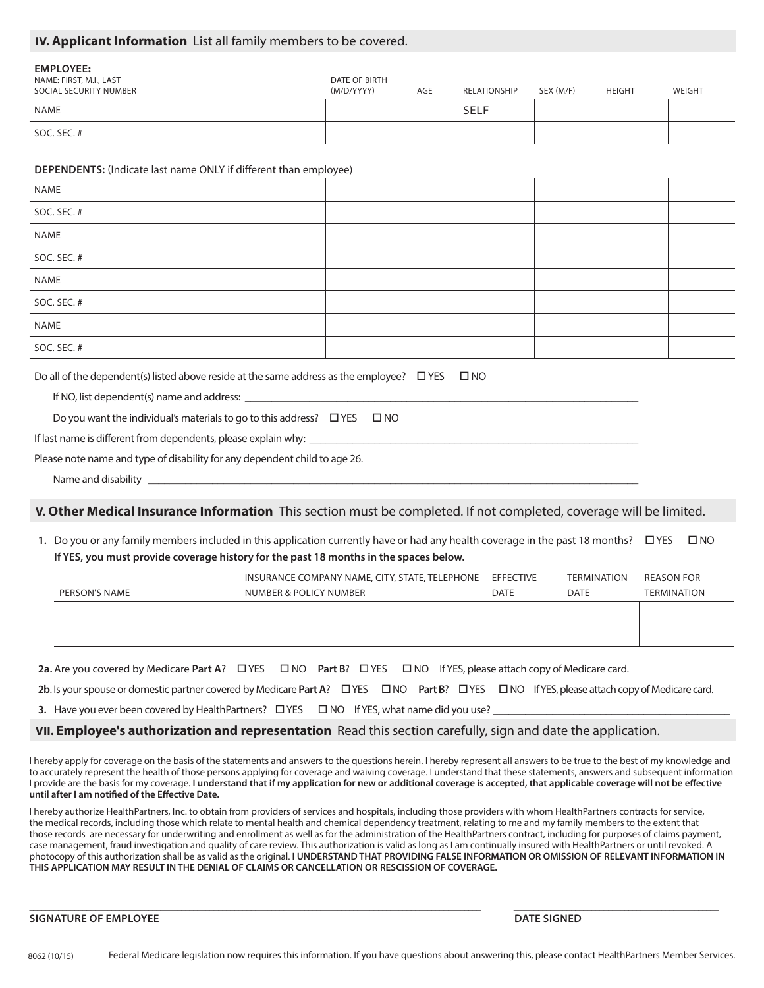#### **IV. Applicant Information** List all family members to be covered.

| <b>EMPLOYEE:</b><br>NAME: FIRST, M.I., LAST<br>SOCIAL SECURITY NUMBER | DATE OF BIRTH<br>(M/D/YYYY) | AGE | RELATIONSHIP | SEX (M/F) | <b>HEIGHT</b> | WEIGHT |
|-----------------------------------------------------------------------|-----------------------------|-----|--------------|-----------|---------------|--------|
| NAME                                                                  |                             |     | <b>SELF</b>  |           |               |        |
| SOC. SEC. #                                                           |                             |     |              |           |               |        |

#### **DEPENDENTS:** (Indicate last name ONLY if different than employee)

| NAME        |  |  |  |
|-------------|--|--|--|
| SOC. SEC. # |  |  |  |
| NAME        |  |  |  |
| SOC. SEC. # |  |  |  |
| NAME        |  |  |  |
| SOC. SEC. # |  |  |  |
| NAME        |  |  |  |
| SOC. SEC. # |  |  |  |

Do all of the dependent(s) listed above reside at the same address as the employee?  $\Box$  YES  $\Box$  NO

If NO, list dependent(s) name and address:

Do you want the individual's materials to go to this address?  $\Box$  YES  $\Box$  NO

If last name is different from dependents, please explain why: \_

Please note name and type of disability for any dependent child to age 26.

Name and disability \_

#### **V. Other Medical Insurance Information** This section must be completed. If not completed, coverage will be limited.

1. Do you or any family members included in this application currently have or had any health coverage in the past 18 months?  $\Box$  YES  $\Box$  NO **If YES, you must provide coverage history for the past 18 months in the spaces below.**

|               | INSURANCE COMPANY NAME, CITY, STATE, TELEPHONE | EFFECTIVE   | <b>TERMINATION</b> | REASON FOR         |
|---------------|------------------------------------------------|-------------|--------------------|--------------------|
| PERSON'S NAME | NUMBER & POLICY NUMBER                         | <b>DATE</b> | DATE               | <b>TERMINATION</b> |
|               |                                                |             |                    |                    |
|               |                                                |             |                    |                    |
|               |                                                |             |                    |                    |

**2a.** Are you covered by Medicare Part A? □ YES □ NO Part B? □ YES □ NO If YES, please attach copy of Medicare card.

**2b**. Is your spouse or domestic partner covered by Medicare **Part A**? YES NO **Part B**? YES NO If YES, please attach copy of Medicare card.

**3.** Have you ever been covered by HealthPartners?  $\Box$  YES  $\Box$  NO If YES, what name did you use?

**VII. Employee's authorization and representation** Read this section carefully, sign and date the application.

I hereby apply for coverage on the basis of the statements and answers to the questions herein. I hereby represent all answers to be true to the best of my knowledge and to accurately represent the health of those persons applying for coverage and waiving coverage. I understand that these statements, answers and subsequent information I provide are the basis for my coverage. I understand that if my application for new or additional coverage is accepted, that applicable coverage will not be effective **until after I am notified of the Effective Date.**

I hereby authorize HealthPartners, Inc. to obtain from providers of services and hospitals, including those providers with whom HealthPartners contracts for service, the medical records, including those which relate to mental health and chemical dependency treatment, relating to me and my family members to the extent that those records are necessary for underwriting and enrollment as well as for the administration of the HealthPartners contract, including for purposes of claims payment, case management, fraud investigation and quality of care review. This authorization is valid as long as I am continually insured with HealthPartners or until revoked. A photocopy of this authorization shall be as valid as the original. **I UNDERSTAND THAT PROVIDING FALSE INFORMATION OR OMISSION OF RELEVANT INFORMATION IN THIS APPLICATION MAY RESULT IN THE DENIAL OF CLAIMS OR CANCELLATION OR RESCISSION OF COVERAGE.**

**\_\_\_\_\_\_\_\_\_\_\_\_\_\_\_\_\_\_\_\_\_\_\_\_\_\_\_\_\_\_\_\_\_\_\_\_\_\_\_\_\_\_\_\_\_\_\_\_\_\_\_\_\_\_\_\_\_\_\_\_\_\_\_\_\_\_\_\_\_\_\_\_\_\_\_\_\_\_\_\_\_\_\_\_\_\_\_\_\_\_\_\_\_\_\_\_\_\_\_\_\_\_\_\_\_\_\_\_\_\_ \_\_\_\_\_\_\_\_\_\_\_\_\_\_\_\_\_\_\_\_\_\_\_\_\_\_\_\_\_\_\_\_\_\_\_\_\_\_\_\_\_\_\_\_\_\_\_\_\_\_**

#### **SIGNATURE OF EMPLOYEE DATE SIGNED**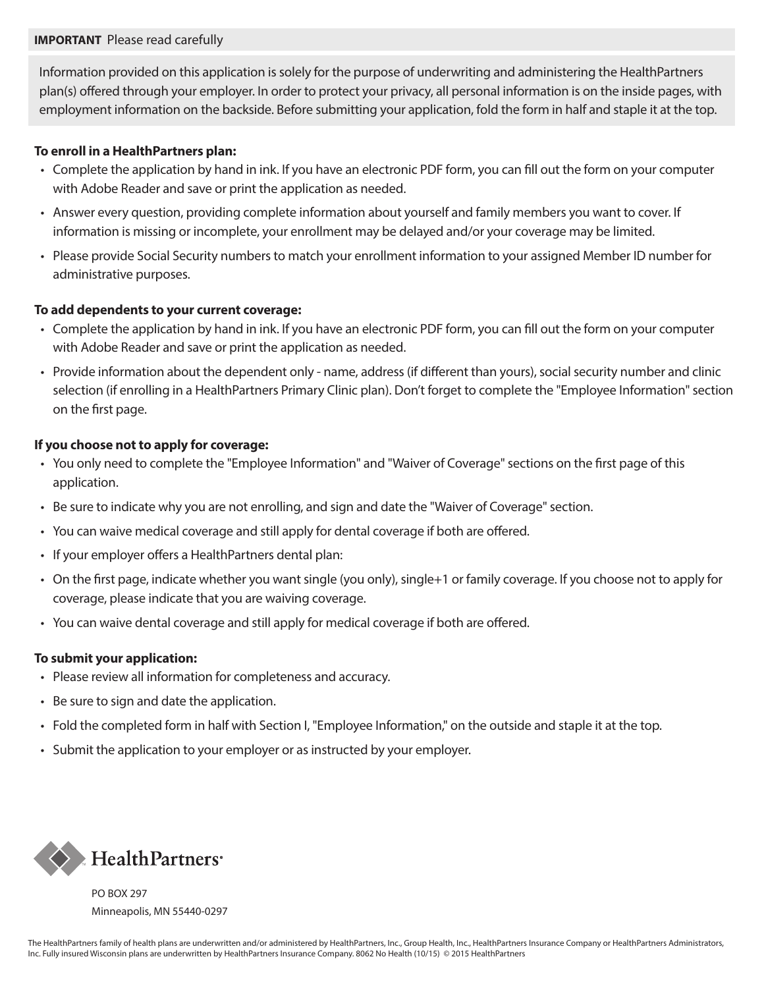### **IMPORTANT** Please read carefully

Information provided on this application is solely for the purpose of underwriting and administering the HealthPartners plan(s) offered through your employer. In order to protect your privacy, all personal information is on the inside pages, with employment information on the backside. Before submitting your application, fold the form in half and staple it at the top.

### **To enroll in a HealthPartners plan:**

- Complete the application by hand in ink. If you have an electronic PDF form, you can fill out the form on your computer with Adobe Reader and save or print the application as needed.
- Answer every question, providing complete information about yourself and family members you want to cover. If information is missing or incomplete, your enrollment may be delayed and/or your coverage may be limited.
- Please provide Social Security numbers to match your enrollment information to your assigned Member ID number for administrative purposes.

### **To add dependents to your current coverage:**

- Complete the application by hand in ink. If you have an electronic PDF form, you can fill out the form on your computer with Adobe Reader and save or print the application as needed.
- Provide information about the dependent only name, address (if different than yours), social security number and clinic selection (if enrolling in a HealthPartners Primary Clinic plan). Don't forget to complete the "Employee Information" section on the first page.

## **If you choose not to apply for coverage:**

- You only need to complete the "Employee Information" and "Waiver of Coverage" sections on the first page of this application.
- Be sure to indicate why you are not enrolling, and sign and date the "Waiver of Coverage" section.
- You can waive medical coverage and still apply for dental coverage if both are offered.
- If your employer offers a HealthPartners dental plan:
- On the first page, indicate whether you want single (you only), single+1 or family coverage. If you choose not to apply for coverage, please indicate that you are waiving coverage.
- You can waive dental coverage and still apply for medical coverage if both are offered.

## **To submit your application:**

- Please review all information for completeness and accuracy.
- Be sure to sign and date the application.
- Fold the completed form in half with Section I, "Employee Information," on the outside and staple it at the top.
- Submit the application to your employer or as instructed by your employer.



PO BOX 297 Minneapolis, MN 55440-0297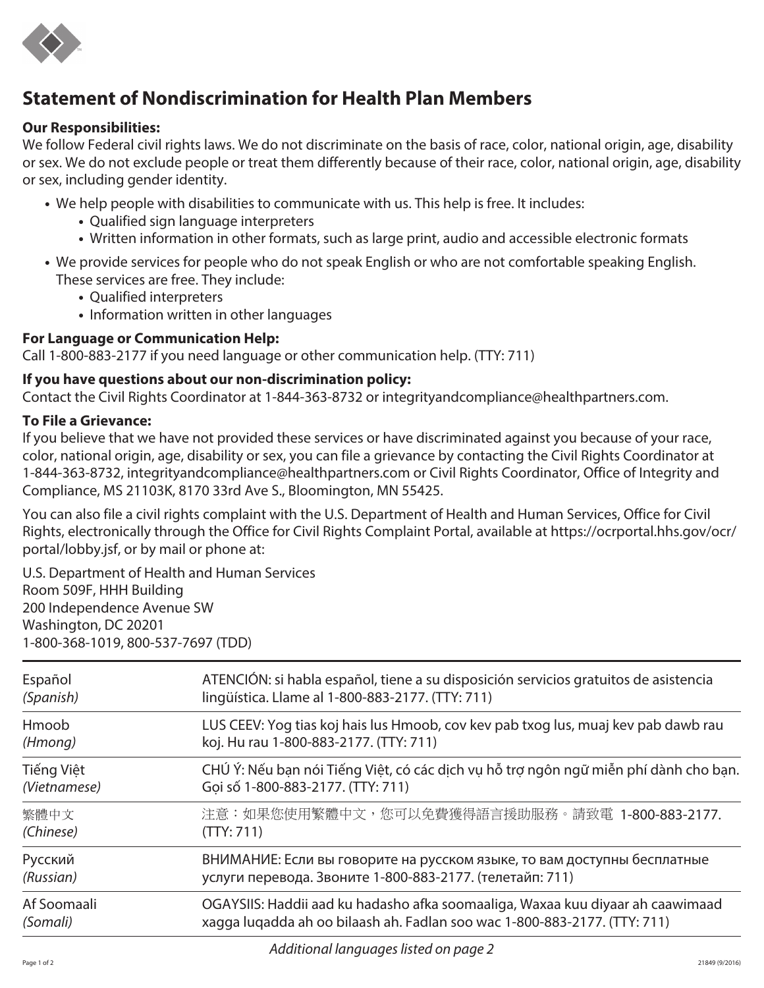

# **Statement of Nondiscrimination for Health Plan Members**

## **Our Responsibilities:**

We follow Federal civil rights laws. We do not discriminate on the basis of race, color, national origin, age, disability or sex. We do not exclude people or treat them differently because of their race, color, national origin, age, disability or sex, including gender identity.

- We help people with disabilities to communicate with us. This help is free. It includes:
	- Qualified sign language interpreters
	- Written information in other formats, such as large print, audio and accessible electronic formats
- We provide services for people who do not speak English or who are not comfortable speaking English. These services are free. They include:
	- Qualified interpreters
	- Information written in other languages

# **For Language or Communication Help:**

Call 1-800-883-2177 if you need language or other communication help. (TTY: 711)

# **If you have questions about our non-discrimination policy:**

Contact the Civil Rights Coordinator at 1-844-363-8732 or [integrityandcompliance@healthpartners.com](mailto:integrityandcompliance@healthpartners.com).

# **To File a Grievance:**

If you believe that we have not provided these services or have discriminated against you because of your race, color, national origin, age, disability or sex, you can file a grievance by contacting the Civil Rights Coordinator at 1-844-363-8732, [integrityandcompliance@healthpartners.com](mailto:integrityandcompliance@healthpartners.com) or Civil Rights Coordinator, Office of Integrity and Compliance, MS 21103K, 8170 33rd Ave S., Bloomington, MN 55425.

You can also file a civil rights complaint with the U.S. Department of Health and Human Services, Office for Civil Rights, electronically through the Office for Civil Rights Complaint Portal, available at [https://ocrportal.hhs.gov/ocr/](https://ocrportal.hhs.gov/ocr/portal/lobby.jsf) [portal/lobby.jsf,](https://ocrportal.hhs.gov/ocr/portal/lobby.jsf) or by mail or phone at:

U.S. Department of Health and Human Services Room 509F, HHH Building 200 Independence Avenue SW Washington, DC 20201 1-800-368-1019, 800-537-7697 (TDD)

| ATENCIÓN: si habla español, tiene a su disposición servicios gratuitos de asistencia<br>lingüística. Llame al 1-800-883-2177. (TTY: 711)                    |
|-------------------------------------------------------------------------------------------------------------------------------------------------------------|
| LUS CEEV: Yog tias koj hais lus Hmoob, cov kev pab txog lus, muaj kev pab dawb rau<br>koj. Hu rau 1-800-883-2177. (TTY: 711)                                |
| CHÚ Ý: Nếu bạn nói Tiếng Việt, có các dịch vụ hỗ trợ ngôn ngữ miễn phí dành cho bạn.<br>Goi số 1-800-883-2177. (TTY: 711)                                   |
| 注意:如果您使用繁體中文,您可以免費獲得語言援助服務。請致電 1-800-883-2177.<br>(TTY: 711)                                                                                                |
| ВНИМАНИЕ: Если вы говорите на русском языке, то вам доступны бесплатные<br>услуги перевода. Звоните 1-800-883-2177. (телетайп: 711)                         |
| OGAYSIIS: Haddii aad ku hadasho afka soomaaliga, Waxaa kuu diyaar ah caawimaad<br>xagga luqadda ah oo bilaash ah. Fadlan soo wac 1-800-883-2177. (TTY: 711) |
|                                                                                                                                                             |